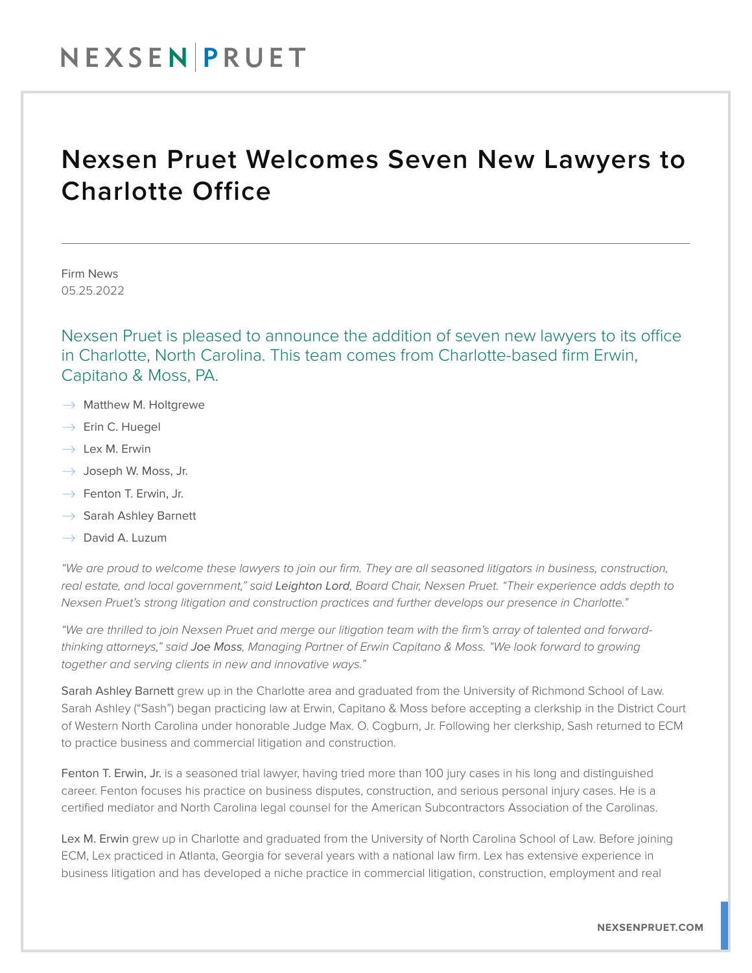## NEXSENPRUET

## Nexsen Pruet Welcomes Seven New Lawyers to Charlotte Office

Firm News 05.25.2022

Nexsen Pruet is pleased to announce the addition of seven new lawyers to its office in Charlotte, North Carolina. This team comes from Charlotte-based firm Erwin, Capitano & Moss, PA.

- $\rightarrow$  Matthew M. Holtgrewe
- $\rightarrow$  Erin C. Huegel
- $\rightarrow$  Lex M. Erwin
- $\rightarrow$  Joseph W. Moss, Jr.
- $\rightarrow$  Fenton T. Erwin, Jr.
- $\rightarrow$  Sarah Ashley Barnett
- $\rightarrow$  David A. Luzum

*"We are proud to welcome these lawyers to join our firm. They are all seasoned litigators in business, construction, real estate, and local government," said Leighton Lord, Board Chair, Nexsen Pruet. "Their experience adds depth to Nexsen Pruet's strong litigation and construction practices and further develops our presence in Charlotte."*

*"We are thrilled to join Nexsen Pruet and merge our litigation team with the firm's array of talented and forwardthinking attorneys," said Joe Moss, Managing Partner of Erwin Capitano & Moss. "We look forward to growing together and serving clients in new and innovative ways."*

Sarah Ashley Barnett grew up in the Charlotte area and graduated from the University of Richmond School of Law. Sarah Ashley ("Sash") began practicing law at Erwin, Capitano & Moss before accepting a clerkship in the District Court of Western North Carolina under honorable Judge Max. O. Cogburn, Jr. Following her clerkship, Sash returned to ECM to practice business and commercial litigation and construction.

Fenton T. Erwin, Jr. is a seasoned trial lawyer, having tried more than 100 jury cases in his long and distinguished career. Fenton focuses his practice on business disputes, construction, and serious personal injury cases. He is a certified mediator and North Carolina legal counsel for the American Subcontractors Association of the Carolinas.

Lex M. Erwin grew up in Charlotte and graduated from the University of North Carolina School of Law. Before joining ECM, Lex practiced in Atlanta, Georgia for several years with a national law firm. Lex has extensive experience in business litigation and has developed a niche practice in commercial litigation, construction, employment and real